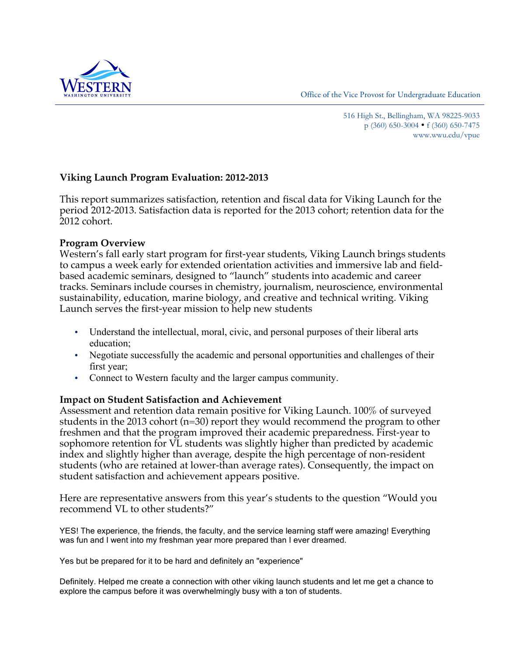Office of the Vice Provost for Undergraduate Education



 516 High St., Bellingham, WA 98225-9033 p (360) 650-3004 f (360) 650-7475 <www.wwu.edu/vpue>

# **Viking Launch Program Evaluation: 2012-2013**

This report summarizes satisfaction, retention and fiscal data for Viking Launch for the period 2012-2013. Satisfaction data is reported for the 2013 cohort; retention data for the 2012 cohort.

# **Program Overview**

Western's fall early start program for first-year students, Viking Launch brings students to campus a week early for extended orientation activities and immersive lab and fieldbased academic seminars, designed to "launch" students into academic and career tracks. Seminars include courses in chemistry, journalism, neuroscience, environmental sustainability, education, marine biology, and creative and technical writing. Viking Launch serves the first-year mission to help new students

- Understand the intellectual, moral, civic, and personal purposes of their liberal arts education;
- Negotiate successfully the academic and personal opportunities and challenges of their first year;
- Connect to Western faculty and the larger campus community.

## **Impact on Student Satisfaction and Achievement**

Assessment and retention data remain positive for Viking Launch. 100% of surveyed students in the 2013 cohort (n=30) report they would recommend the program to other freshmen and that the program improved their academic preparedness. First-year to sophomore retention for VL students was slightly higher than predicted by academic index and slightly higher than average, despite the high percentage of non-resident students (who are retained at lower-than average rates). Consequently, the impact on student satisfaction and achievement appears positive.

Here are representative answers from this year's students to the question "Would you recommend VL to other students?"

 YES! The experience, the friends, the faculty, and the service learning staff were amazing! Everything was fun and I went into my freshman year more prepared than I ever dreamed.

Yes but be prepared for it to be hard and definitely an "experience"

 Definitely. Helped me create a connection with other viking launch students and let me get a chance to explore the campus before it was overwhelmingly busy with a ton of students.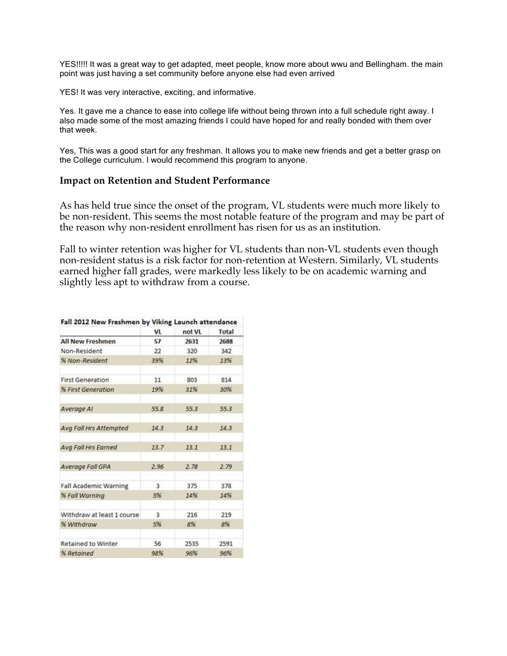YES!!!!! It was a great way to get adapted, meet people, know more about wwu and Bellingham. the main point was just having a set community before anyone else had even arrived

YES! It was very interactive, exciting, and informative.

 Yes. It gave me a chance to ease into college life without being thrown into a full schedule right away. I also made some of the most amazing friends I could have hoped for and really bonded with them over that week.

 Yes, This was a good start for any freshman. It allows you to make new friends and get a better grasp on the College curriculum. I would recommend this program to anyone.

#### **Impact on Retention and Student Performance**

As has held true since the onset of the program, VL students were much more likely to be non-resident. This seems the most notable feature of the program and may be part of the reason why non-resident enrollment has risen for us as an institution.

Fall to winter retention was higher for VL students than non-VL students even though non-resident status is a risk factor for non-retention at Western. Similarly, VL students earned higher fall grades, were markedly less likely to be on academic warning and slightly less apt to withdraw from a course.

|                              | Fall 2012 New Freshmen by Viking Launch attendance |        |              |
|------------------------------|----------------------------------------------------|--------|--------------|
|                              | <b>VL</b>                                          | not VL | <b>Total</b> |
| <b>All New Freshmen</b>      | 57                                                 | 2631   | 2688         |
| Non-Resident                 | 22                                                 | 320    | 342          |
| % Non-Resident               | 39%                                                | 12%    | 13%          |
| <b>First Generation</b>      | 11                                                 | 803    | 814          |
| % First Generation           | 19%                                                | 31%    | 30%          |
| Average Al                   | 55.8                                               | 55.3   | 55.3         |
| Avg Fall Hrs Attempted       | 14.3                                               | 14.3   | 14.3         |
| Ava Fall Hrs Earned          | 13.7                                               | 13.1   | 13.1         |
| Average Fall GPA             | 2.96                                               | 2.78   | 2.79         |
| <b>Fall Academic Warning</b> | 3                                                  | 375    | 378          |
| % Fall Warning               | 5%                                                 | 14%    | 14%          |
| Withdraw at least 1 course   | 3                                                  | 216    | 219          |
| % Withdraw                   | 5%                                                 | 8%     | 8%           |
| <b>Retained to Winter</b>    | 56                                                 | 2535   | 2591         |
| % Retained                   | 98%                                                | 96%    | 96%          |